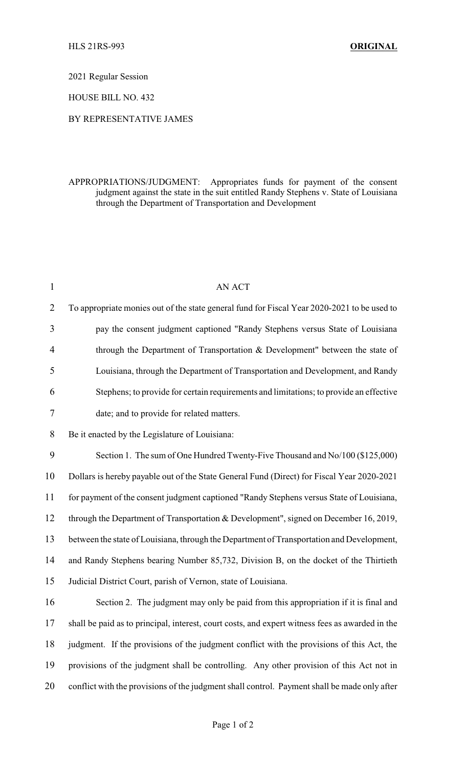2021 Regular Session

HOUSE BILL NO. 432

## BY REPRESENTATIVE JAMES

## APPROPRIATIONS/JUDGMENT: Appropriates funds for payment of the consent judgment against the state in the suit entitled Randy Stephens v. State of Louisiana through the Department of Transportation and Development

| $\mathbf{1}$   | AN ACT                                                                                          |
|----------------|-------------------------------------------------------------------------------------------------|
| $\overline{2}$ | To appropriate monies out of the state general fund for Fiscal Year 2020-2021 to be used to     |
| 3              | pay the consent judgment captioned "Randy Stephens versus State of Louisiana                    |
| $\overline{4}$ | through the Department of Transportation & Development" between the state of                    |
| 5              | Louisiana, through the Department of Transportation and Development, and Randy                  |
| 6              | Stephens; to provide for certain requirements and limitations; to provide an effective          |
| 7              | date; and to provide for related matters.                                                       |
| 8              | Be it enacted by the Legislature of Louisiana:                                                  |
| 9              | Section 1. The sum of One Hundred Twenty-Five Thousand and No/100 (\$125,000)                   |
| 10             | Dollars is hereby payable out of the State General Fund (Direct) for Fiscal Year 2020-2021      |
| 11             | for payment of the consent judgment captioned "Randy Stephens versus State of Louisiana,        |
| 12             | through the Department of Transportation & Development", signed on December 16, 2019,           |
| 13             | between the state of Louisiana, through the Department of Transportation and Development,       |
| 14             | and Randy Stephens bearing Number 85,732, Division B, on the docket of the Thirtieth            |
| 15             | Judicial District Court, parish of Vernon, state of Louisiana.                                  |
| 16             | Section 2. The judgment may only be paid from this appropriation if it is final and             |
| 17             | shall be paid as to principal, interest, court costs, and expert witness fees as awarded in the |
| 18             | judgment. If the provisions of the judgment conflict with the provisions of this Act, the       |
| 19             | provisions of the judgment shall be controlling. Any other provision of this Act not in         |
| 20             | conflict with the provisions of the judgment shall control. Payment shall be made only after    |